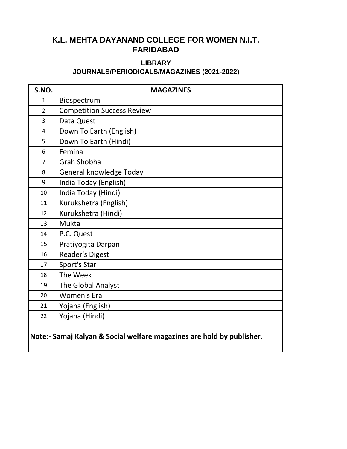#### **LIBRARY**

#### **JOURNALS/PERIODICALS/MAGAZINES (2021-2022)**

| S.NO.                   | <b>MAGAZINES</b>                  |
|-------------------------|-----------------------------------|
| $\mathbf{1}$            | Biospectrum                       |
| $\overline{2}$          | <b>Competition Success Review</b> |
| 3                       | Data Quest                        |
| $\overline{\mathbf{4}}$ | Down To Earth (English)           |
| 5                       | Down To Earth (Hindi)             |
| 6                       | Femina                            |
| $\overline{7}$          | <b>Grah Shobha</b>                |
| 8                       | General knowledge Today           |
| 9                       | India Today (English)             |
| 10                      | India Today (Hindi)               |
| 11                      | Kurukshetra (English)             |
| 12                      | Kurukshetra (Hindi)               |
| 13                      | Mukta                             |
| 14                      | P.C. Quest                        |
| 15                      | Pratiyogita Darpan                |
| 16                      | <b>Reader's Digest</b>            |
| 17                      | Sport's Star                      |
| 18                      | The Week                          |
| 19                      | The Global Analyst                |
| 20                      | <b>Women's Era</b>                |
| 21                      | Yojana (English)                  |
| 22                      | Yojana (Hindi)                    |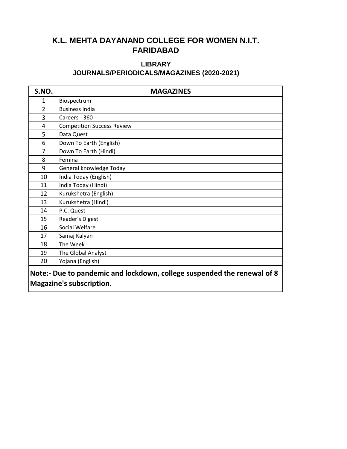### **JOURNALS/PERIODICALS/MAGAZINES (2020-2021) LIBRARY**

| S.NO.                                                                   | <b>MAGAZINES</b>                  |  |
|-------------------------------------------------------------------------|-----------------------------------|--|
| 1                                                                       | Biospectrum                       |  |
| $\overline{2}$                                                          | <b>Business India</b>             |  |
| 3                                                                       | Careers - 360                     |  |
| 4                                                                       | <b>Competition Success Review</b> |  |
| 5                                                                       | Data Quest                        |  |
| 6                                                                       | Down To Earth (English)           |  |
| 7                                                                       | Down To Earth (Hindi)             |  |
| 8                                                                       | Femina                            |  |
| 9                                                                       | General knowledge Today           |  |
| 10                                                                      | India Today (English)             |  |
| 11                                                                      | India Today (Hindi)               |  |
| 12                                                                      | Kurukshetra (English)             |  |
| 13                                                                      | Kurukshetra (Hindi)               |  |
| 14                                                                      | P.C. Quest                        |  |
| 15                                                                      | Reader's Digest                   |  |
| 16                                                                      | Social Welfare                    |  |
| 17                                                                      | Samaj Kalyan                      |  |
| 18                                                                      | The Week                          |  |
| 19                                                                      | The Global Analyst                |  |
| 20                                                                      | Yojana (English)                  |  |
| Note:- Due to pandemic and lockdown, college suspended the renewal of 8 |                                   |  |

**Magazine's subscription.**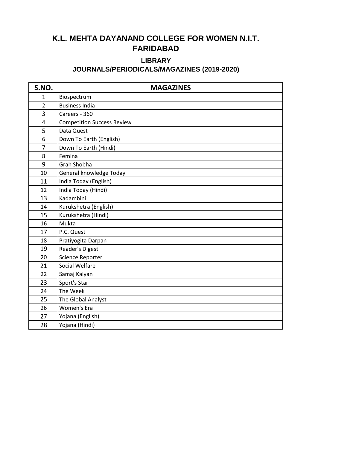## **LIBRARY**

### **JOURNALS/PERIODICALS/MAGAZINES (2019-2020)**

| S.NO.          | <b>MAGAZINES</b>                  |
|----------------|-----------------------------------|
| $\mathbf{1}$   | Biospectrum                       |
| $\overline{2}$ | <b>Business India</b>             |
| 3              | Careers - 360                     |
| 4              | <b>Competition Success Review</b> |
| 5              | Data Quest                        |
| 6              | Down To Earth (English)           |
| 7              | Down To Earth (Hindi)             |
| 8              | Femina                            |
| 9              | Grah Shobha                       |
| 10             | General knowledge Today           |
| 11             | India Today (English)             |
| 12             | India Today (Hindi)               |
| 13             | Kadambini                         |
| 14             | Kurukshetra (English)             |
| 15             | Kurukshetra (Hindi)               |
| 16             | Mukta                             |
| 17             | P.C. Quest                        |
| 18             | Pratiyogita Darpan                |
| 19             | Reader's Digest                   |
| 20             | Science Reporter                  |
| 21             | <b>Social Welfare</b>             |
| 22             | Samaj Kalyan                      |
| 23             | Sport's Star                      |
| 24             | The Week                          |
| 25             | The Global Analyst                |
| 26             | Women's Era                       |
| 27             | Yojana (English)                  |
| 28             | Yojana (Hindi)                    |